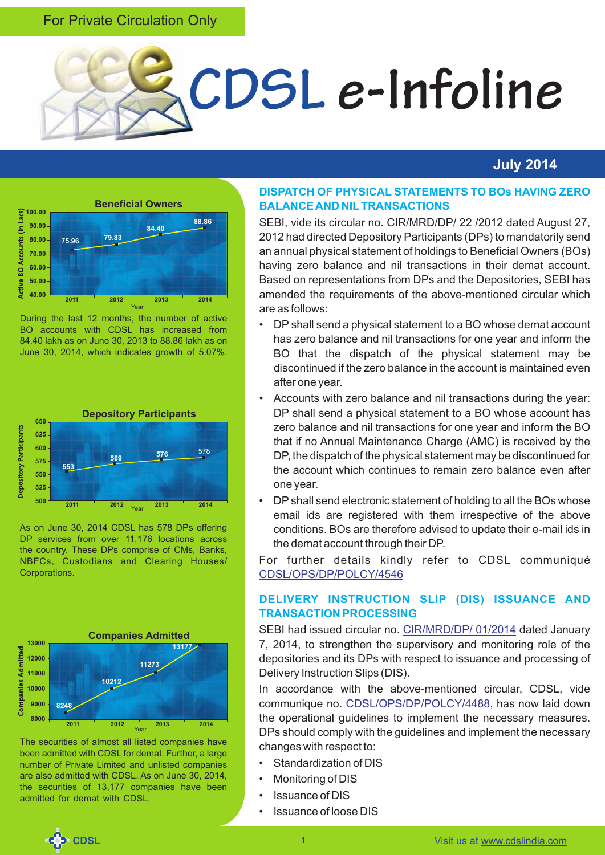#### For Private Circulation Only



#### **July 2014**



During the last 12 months, the number of active BO accounts with CDSL has increased from 84.40 lakh as on June 30, 2013 to 88.86 lakh as on June 30, 2014, which indicates growth of 5.07%.



As on June 30, 2014 CDSL has 578 DPs offering DP services from over 11,176 locations across the country. These DPs comprise of CMs, Banks, NBFCs, Custodians and Clearing Houses/ Corporations.



The securities of almost all listed companies have been admitted with CDSL for demat. Further, a large number of Private Limited and unlisted companies are also admitted with CDSL. As on June 30, 2014, the securities of 13,177 companies have been admitted for demat with CDSL.

#### **DISPATCH OF PHYSICAL STATEMENTS TO BOs HAVING ZERO BALANCE AND NILTRANSACTIONS**

SEBI, vide its circular no. CIR/MRD/DP/ 22 /2012 dated August 27, 2012 had directed Depository Participants (DPs) to mandatorily send an annual physical statement of holdings to Beneficial Owners (BOs) having zero balance and nil transactions in their demat account. Based on representations from DPs and the Depositories, SEBI has amended the requirements of the above-mentioned circular which are as follows:

- DP shall send a physical statement to a BO whose demat account has zero balance and nil transactions for one year and inform the BO that the dispatch of the physical statement may be discontinued if the zero balance in the account is maintained even after one year.
- Accounts with zero balance and nil transactions during the year: DP shall send a physical statement to a BO whose account has zero balance and nil transactions for one year and inform the BO that if no Annual Maintenance Charge (AMC) is received by the DP, the dispatch of the physical statement may be discontinued for the account which continues to remain zero balance even after one year.
- DPshall send electronic statement of holding to all the BOs whose email ids are registered with them irrespective of the above conditions. BOs are therefore advised to update their e-mail ids in the demat account through their DP.

For further details kindly refer to CDSL communiqué [CDSL/OPS/DP/POLCY/4546](https://www.cdslindia.com/publications/commprocedure.aspx?eventid=DP4546)

#### **DELIVERY INSTRUCTION SLIP (DIS) ISSUANCE AND TRANSACTION PROCESSING**

SEBIhad issued circular no. CIR/MRD/DP/ 01/2014 dated January 7, 2014, to strengthen the supervisory and monitoring role of the depositories and its DPs with respect to issuance and processing of Delivery Instruction Slips (DIS).

In accordance with the above-mentioned circular, CDSL, vide communique no. CDSL/OPS/DP/POLCY/4488, has now laid down the operational guidelines to implement the necessary measures. DPs should comply with the guidelines and implement the necessary changes with respect to:

- Standardization of DIS
- Monitoring of DIS
- Issuance of DIS
- Issuance of loose DIS

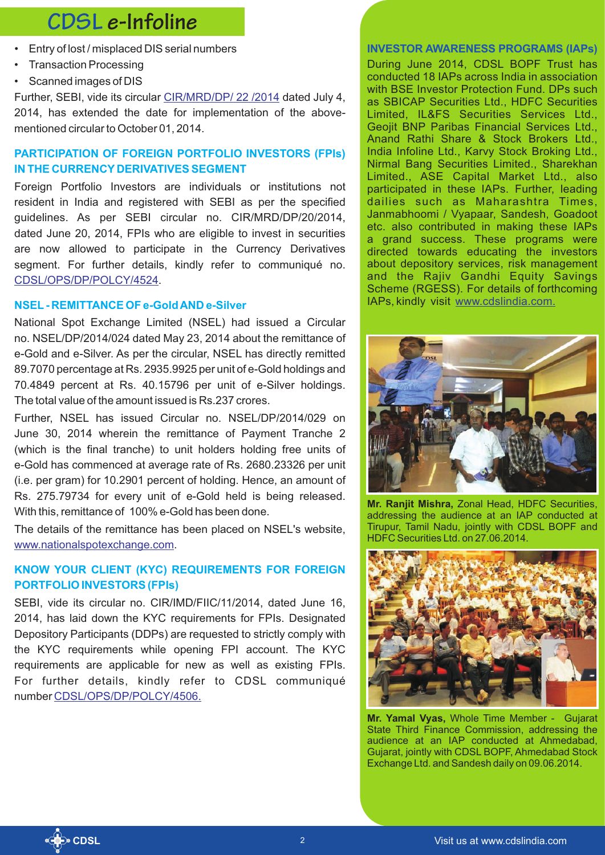## **CDSL e-Infoline**

- Entry of lost / misplaced DIS serial numbers
- Transaction Processing
- Scanned images of DIS

Further,SEBI, vide its circular *CIR/MRD/DP/ 22 /2014* dated July 4, 2014, has extended the date for implementation of the abovementioned circular to October 01, 2014.

#### **PARTICIPATION OF FOREIGN PORTFOLIO INVESTORS (FPIs) IN THE CURRENCY DERIVATIVES SEGMENT**

Foreign Portfolio Investors are individuals or institutions not resident in India and registered with SEBI as per the specified guidelines. As per SEBI circular no. CIR/MRD/DP/20/2014, dated June 20, 2014, FPIs who are eligible to invest in securities are now allowed to participate in the Currency Derivatives [segment. For further details, kindly refer to communiqué no.](https://www.cdslindia.com/publications/commprocedure.aspx?eventid=DP4524) . CDSL/OPS/DP/POLCY/4524

#### **NSEL- REMITTANCE OF e-Gold AND e-Silver**

National Spot Exchange Limited (NSEL) had issued a Circular no. NSEL/DP/2014/024 dated May 23, 2014 about the remittance of e-Gold and e-Silver. As per the circular, NSEL has directly remitted 89.7070 percentage at Rs. 2935.9925 per unit of e-Gold holdings and 70.4849 percent at Rs. 40.15796 per unit of e-Silver holdings. The total value of the amount issued is Rs.237 crores.

Further, NSEL has issued Circular no. NSEL/DP/2014/029 on June 30, 2014 wherein the remittance of Payment Tranche 2 (which is the final tranche) to unit holders holding free units of e-Gold has commenced at average rate of Rs. 2680.23326 per unit (i.e. per gram) for 10.2901 percent of holding. Hence, an amount of Rs. 275.79734 for every unit of e-Gold held is being released. With this, remittance of 100% e-Gold has been done.

<www.nationalspotexchange.com> . The details of the remittance has been placed on NSEL's website,

#### **KNOW YOUR CLIENT (KYC) REQUIREMENTS FOR FOREIGN PORTFOLIO INVESTORS (FPIs)**

SEBI, vide its circular no. CIR/IMD/FIIC/11/2014, dated June 16, 2014, has laid down the KYC requirements for FPIs. Designated Depository Participants (DDPs) are requested to strictly comply with the KYC requirements while opening FPI account. The KYC requirements are applicable for new as well as existing FPIs. For further details, kindly refer to CDSL communiqué number [CDSL/OPS/DP/POLCY/4506.](https://www.cdslindia.com/publications/commprocedure.aspx?eventid=DP4506)

#### **INVESTOR AWARENESS PROGRAMS (IAPs)**

During June 2014, CDSL BOPF Trust has conducted 18 IAPs across India in association with BSE Investor Protection Fund. DPs such as SBICAP Securities Ltd., HDFC Securities Limited, IL&FS Securities Services Ltd., Geojit BNP Paribas Financial Services Ltd., Anand Rathi Share & Stock Brokers Ltd., India Infoline Ltd., Karvy Stock Broking Ltd., Nirmal Bang Securities Limited., Sharekhan Limited., ASE Capital Market Ltd., also participated in these IAPs. Further, leading dailies such as Maharashtra Times, Janmabhoomi / Vyapaar, Sandesh, Goadoot etc. also contributed in making these IAPs a grand success. These programs were directed towards educating the investors about depository services, risk management and the Rajiv Gandhi Equity Savings Scheme (RGESS). For details of forthcoming IAPs, kindly visit [www.cdslindia.com.](www.cdslindia.com)



**Mr. Ranjit Mishra,** Zonal Head, HDFC Securities, addressing the audience at an IAP conducted at Tirupur, Tamil Nadu, jointly with CDSL BOPF and HDFC Securities Ltd. on 27.06.2014.



**Mr. Yamal Vyas,** Whole Time Member - Gujarat State Third Finance Commission, addressing the audience at an IAP conducted at Ahmedabad, Gujarat, jointly with CDSL BOPF, Ahmedabad Stock Exchange Ltd. and Sandesh daily on 09.06.2014.